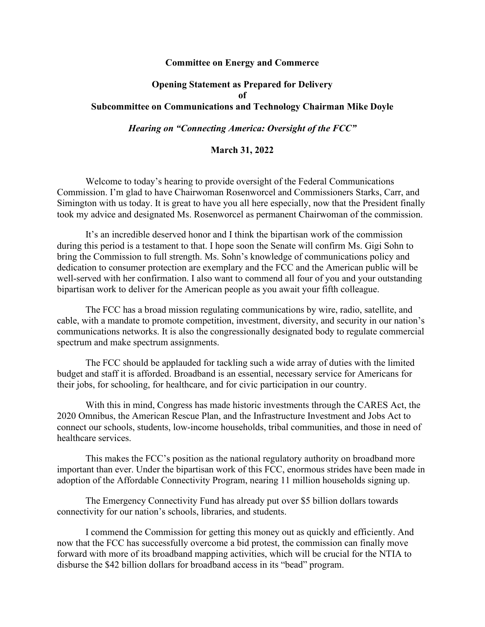## **Committee on Energy and Commerce**

## **Opening Statement as Prepared for Delivery of Subcommittee on Communications and Technology Chairman Mike Doyle**

## *Hearing on "Connecting America: Oversight of the FCC"*

## **March 31, 2022**

Welcome to today's hearing to provide oversight of the Federal Communications Commission. I'm glad to have Chairwoman Rosenworcel and Commissioners Starks, Carr, and Simington with us today. It is great to have you all here especially, now that the President finally took my advice and designated Ms. Rosenworcel as permanent Chairwoman of the commission.

It's an incredible deserved honor and I think the bipartisan work of the commission during this period is a testament to that. I hope soon the Senate will confirm Ms. Gigi Sohn to bring the Commission to full strength. Ms. Sohn's knowledge of communications policy and dedication to consumer protection are exemplary and the FCC and the American public will be well-served with her confirmation. I also want to commend all four of you and your outstanding bipartisan work to deliver for the American people as you await your fifth colleague.

The FCC has a broad mission regulating communications by wire, radio, satellite, and cable, with a mandate to promote competition, investment, diversity, and security in our nation's communications networks. It is also the congressionally designated body to regulate commercial spectrum and make spectrum assignments.

The FCC should be applauded for tackling such a wide array of duties with the limited budget and staff it is afforded. Broadband is an essential, necessary service for Americans for their jobs, for schooling, for healthcare, and for civic participation in our country.

With this in mind, Congress has made historic investments through the CARES Act, the 2020 Omnibus, the American Rescue Plan, and the Infrastructure Investment and Jobs Act to connect our schools, students, low-income households, tribal communities, and those in need of healthcare services.

This makes the FCC's position as the national regulatory authority on broadband more important than ever. Under the bipartisan work of this FCC, enormous strides have been made in adoption of the Affordable Connectivity Program, nearing 11 million households signing up.

The Emergency Connectivity Fund has already put over \$5 billion dollars towards connectivity for our nation's schools, libraries, and students.

I commend the Commission for getting this money out as quickly and efficiently. And now that the FCC has successfully overcome a bid protest, the commission can finally move forward with more of its broadband mapping activities, which will be crucial for the NTIA to disburse the \$42 billion dollars for broadband access in its "bead" program.